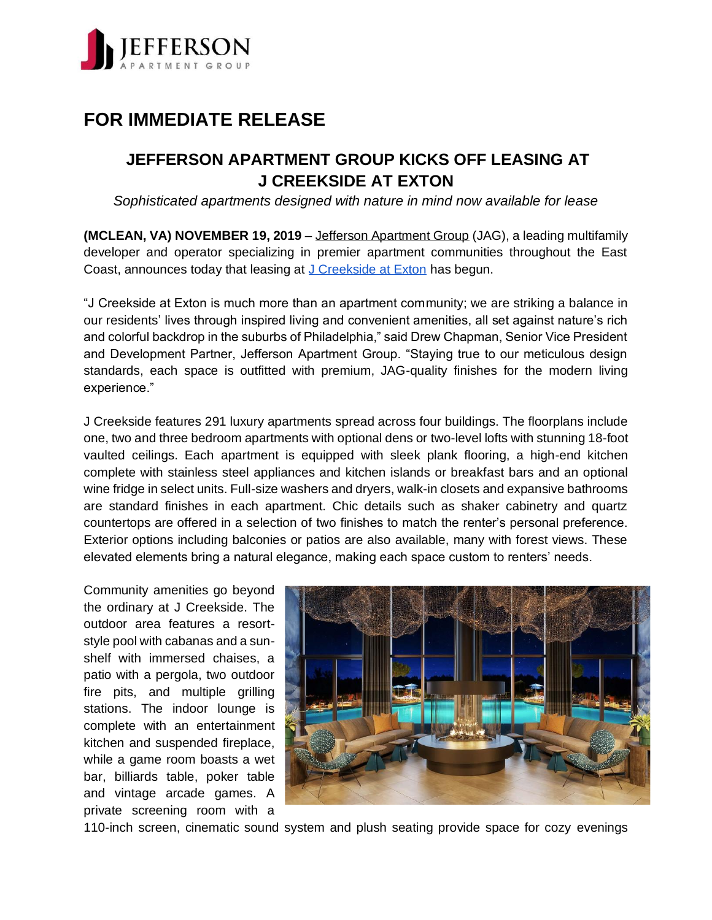

## **FOR IMMEDIATE RELEASE**

## **JEFFERSON APARTMENT GROUP KICKS OFF LEASING AT J CREEKSIDE AT EXTON**

*Sophisticated apartments designed with nature in mind now available for lease*

**(MCLEAN, VA) NOVEMBER 19, 2019** [–](http://jeffersonapartmentgroup.com/) [Jefferson Apartment Group](http://jeffersonapartmentgroup.com/) (JAG), a leading multifamily developer and operator specializing in premier apartment communities throughout the East Coast, announces today that leasing at [J Creekside at Exton](https://www.jcreeksideatexton.com/) has begun.

"J Creekside at Exton is much more than an apartment community; we are striking a balance in our residents' lives through inspired living and convenient amenities, all set against nature's rich and colorful backdrop in the suburbs of Philadelphia," said Drew Chapman, Senior Vice President and Development Partner, Jefferson Apartment Group. "Staying true to our meticulous design standards, each space is outfitted with premium, JAG-quality finishes for the modern living experience."

J Creekside features 291 luxury apartments spread across four buildings. The floorplans include one, two and three bedroom apartments with optional dens or two-level lofts with stunning 18-foot vaulted ceilings. Each apartment is equipped with sleek plank flooring, a high-end kitchen complete with stainless steel appliances and kitchen islands or breakfast bars and an optional wine fridge in select units. Full-size washers and dryers, walk-in closets and expansive bathrooms are standard finishes in each apartment. Chic details such as shaker cabinetry and quartz countertops are offered in a selection of two finishes to match the renter's personal preference. Exterior options including balconies or patios are also available, many with forest views. These elevated elements bring a natural elegance, making each space custom to renters' needs.

Community amenities go beyond the ordinary at J Creekside. The outdoor area features a resortstyle pool with cabanas and a sunshelf with immersed chaises, a patio with a pergola, two outdoor fire pits, and multiple grilling stations. The indoor lounge is complete with an entertainment kitchen and suspended fireplace, while a game room boasts a wet bar, billiards table, poker table and vintage arcade games. A private screening room with a



110-inch screen, cinematic sound system and plush seating provide space for cozy evenings